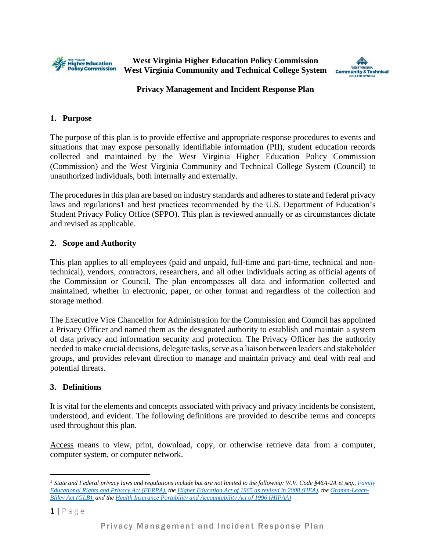

**West Virginia Higher Education Policy Commission West Virginia Community and Technical College System**



### **Privacy Management and Incident Response Plan**

### **1. Purpose**

The purpose of this plan is to provide effective and appropriate response procedures to events and situations that may expose personally identifiable information (PII), student education records collected and maintained by the West Virginia Higher Education Policy Commission (Commission) and the West Virginia Community and Technical College System (Council) to unauthorized individuals, both internally and externally.

The procedures in this plan are based on industry standards and adheres to state and federal privacy laws and regulations1 and best practices recommended by the U.S. Department of Education's Student Privacy Policy Office (SPPO). This plan is reviewed annually or as circumstances dictate and revised as applicable.

# **2. Scope and Authority**

This plan applies to all employees (paid and unpaid, full-time and part-time, technical and nontechnical), vendors, contractors, researchers, and all other individuals acting as official agents of the Commission or Council. The plan encompasses all data and information collected and maintained, whether in electronic, paper, or other format and regardless of the collection and storage method.

The Executive Vice Chancellor for Administration for the Commission and Council has appointed a Privacy Officer and named them as the designated authority to establish and maintain a system of data privacy and information security and protection. The Privacy Officer has the authority needed to make crucial decisions, delegate tasks, serve as a liaison between leaders and stakeholder groups, and provides relevant direction to manage and maintain privacy and deal with real and potential threats.

# **3. Definitions**

It is vital for the elements and concepts associated with privacy and privacy incidents be consistent, understood, and evident. The following definitions are provided to describe terms and concepts used throughout this plan.

Access means to view, print, download, copy, or otherwise retrieve data from a computer, computer system, or computer network.

<sup>&</sup>lt;sup>1</sup> State and Federal privacy laws and regulations include but are not limited to the following: W.V. Code §46A-2A et seq., *Family [Educational Rights and Privacy Act \(FERPA\),](https://www2.ed.gov/policy/gen/guid/fpco/ferpa/index.html) the [Higher Education Act of 1965 as revised in 2008 \(HEA\),](https://www2.ed.gov/policy/highered/leg/hea08/index.html) the [Gramm-Leach-](https://www.fdic.gov/regulations/compliance/manual/8/viii-1.1.pdf)[Bliley Act \(GLB\),](https://www.fdic.gov/regulations/compliance/manual/8/viii-1.1.pdf) and the [Health Insurance Portability and Accountability Act of 1996 \(HIPAA\)](https://www.cdc.gov/phlp/publications/topic/hipaa.html)*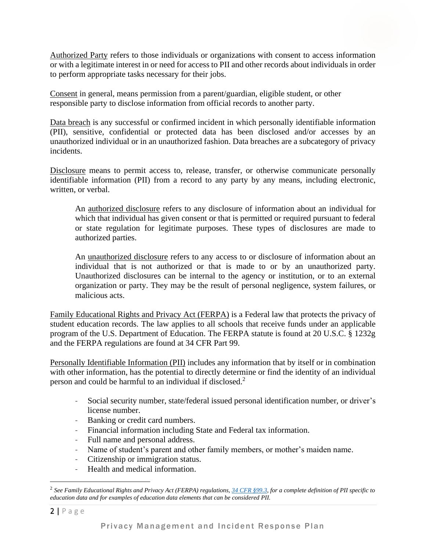Authorized Party refers to those individuals or organizations with consent to access information or with a legitimate interest in or need for access to PII and other records about individuals in order to perform appropriate tasks necessary for their jobs.

Consent in general, means permission from a parent/guardian, eligible student, or other responsible party to disclose information from official records to another party.

Data breach is any successful or confirmed incident in which personally identifiable information (PII), sensitive, confidential or protected data has been disclosed and/or accesses by an unauthorized individual or in an unauthorized fashion. Data breaches are a subcategory of privacy incidents.

Disclosure means to permit access to, release, transfer, or otherwise communicate personally identifiable information (PII) from a record to any party by any means, including electronic, written, or verbal.

An authorized disclosure refers to any disclosure of information about an individual for which that individual has given consent or that is permitted or required pursuant to federal or state regulation for legitimate purposes. These types of disclosures are made to authorized parties.

An unauthorized disclosure refers to any access to or disclosure of information about an individual that is not authorized or that is made to or by an unauthorized party. Unauthorized disclosures can be internal to the agency or institution, or to an external organization or party. They may be the result of personal negligence, system failures, or malicious acts.

Family Educational Rights and Privacy Act (FERPA) is a Federal law that protects the privacy of student education records. The law applies to all schools that receive funds under an applicable program of the U.S. Department of Education. The FERPA statute is found at 20 U.S.C. § 1232g and the FERPA regulations are found at 34 CFR Part 99.

Personally Identifiable Information (PII) includes any information that by itself or in combination with other information, has the potential to directly determine or find the identity of an individual person and could be harmful to an individual if disclosed.<sup>2</sup>

- Social security number, state/federal issued personal identification number, or driver's license number.
- Banking or credit card numbers.
- Financial information including State and Federal tax information.
- Full name and personal address.
- Name of student's parent and other family members, or mother's maiden name.
- Citizenship or immigration status.
- Health and medical information.

<sup>2</sup> *See Family Educational Rights and Privacy Act (FERPA) regulations, [34 CFR §99.3,](https://www2.ed.gov/policy/gen/guid/fpco/pdf/ferparegs.pdf) for a complete definition of PII specific to education data and for examples of education data elements that can be considered PII.*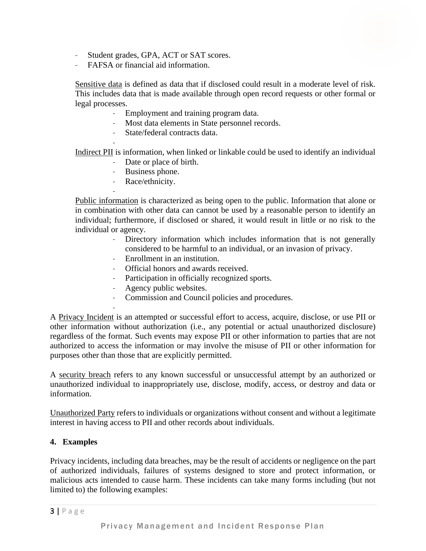- Student grades, GPA, ACT or SAT scores.
- FAFSA or financial aid information.

Sensitive data is defined as data that if disclosed could result in a moderate level of risk. This includes data that is made available through open record requests or other formal or legal processes.

- Employment and training program data.
- Most data elements in State personnel records.
- State/federal contracts data.

- Indirect PII is information, when linked or linkable could be used to identify an individual

- Date or place of birth.
- Business phone.
- Race/ethnicity.

-

Public information is characterized as being open to the public. Information that alone or in combination with other data can cannot be used by a reasonable person to identify an individual; furthermore, if disclosed or shared, it would result in little or no risk to the individual or agency.

- Directory information which includes information that is not generally considered to be harmful to an individual, or an invasion of privacy.
- Enrollment in an institution.
- Official honors and awards received.
- Participation in officially recognized sports.
- Agency public websites.
- Commission and Council policies and procedures.

- A Privacy Incident is an attempted or successful effort to access, acquire, disclose, or use PII or other information without authorization (i.e., any potential or actual unauthorized disclosure) regardless of the format. Such events may expose PII or other information to parties that are not authorized to access the information or may involve the misuse of PII or other information for purposes other than those that are explicitly permitted.

A security breach refers to any known successful or unsuccessful attempt by an authorized or unauthorized individual to inappropriately use, disclose, modify, access, or destroy and data or information.

Unauthorized Party refers to individuals or organizations without consent and without a legitimate interest in having access to PII and other records about individuals.

#### **4. Examples**

Privacy incidents, including data breaches, may be the result of accidents or negligence on the part of authorized individuals, failures of systems designed to store and protect information, or malicious acts intended to cause harm. These incidents can take many forms including (but not limited to) the following examples: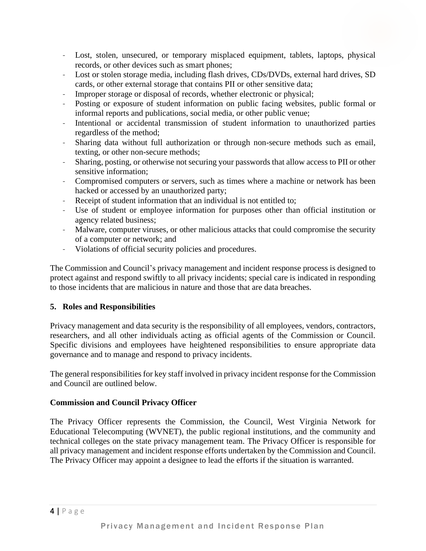- Lost, stolen, unsecured, or temporary misplaced equipment, tablets, laptops, physical records, or other devices such as smart phones;
- Lost or stolen storage media, including flash drives, CDs/DVDs, external hard drives, SD cards, or other external storage that contains PII or other sensitive data;
- Improper storage or disposal of records, whether electronic or physical;
- Posting or exposure of student information on public facing websites, public formal or informal reports and publications, social media, or other public venue;
- Intentional or accidental transmission of student information to unauthorized parties regardless of the method;
- Sharing data without full authorization or through non-secure methods such as email, texting, or other non-secure methods;
- Sharing, posting, or otherwise not securing your passwords that allow access to PII or other sensitive information;
- Compromised computers or servers, such as times where a machine or network has been hacked or accessed by an unauthorized party;
- Receipt of student information that an individual is not entitled to;
- Use of student or employee information for purposes other than official institution or agency related business;
- Malware, computer viruses, or other malicious attacks that could compromise the security of a computer or network; and
- Violations of official security policies and procedures.

The Commission and Council's privacy management and incident response process is designed to protect against and respond swiftly to all privacy incidents; special care is indicated in responding to those incidents that are malicious in nature and those that are data breaches.

# **5. Roles and Responsibilities**

Privacy management and data security is the responsibility of all employees, vendors, contractors, researchers, and all other individuals acting as official agents of the Commission or Council. Specific divisions and employees have heightened responsibilities to ensure appropriate data governance and to manage and respond to privacy incidents.

The general responsibilities for key staff involved in privacy incident response for the Commission and Council are outlined below.

# **Commission and Council Privacy Officer**

The Privacy Officer represents the Commission, the Council, West Virginia Network for Educational Telecomputing (WVNET), the public regional institutions, and the community and technical colleges on the state privacy management team. The Privacy Officer is responsible for all privacy management and incident response efforts undertaken by the Commission and Council. The Privacy Officer may appoint a designee to lead the efforts if the situation is warranted.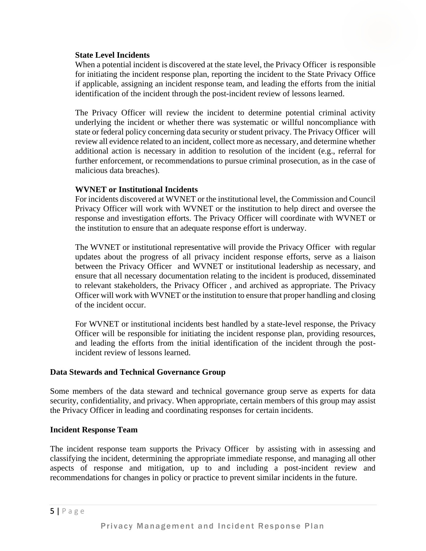### **State Level Incidents**

When a potential incident is discovered at the state level, the Privacy Officer is responsible for initiating the incident response plan, reporting the incident to the State Privacy Office if applicable, assigning an incident response team, and leading the efforts from the initial identification of the incident through the post-incident review of lessons learned.

The Privacy Officer will review the incident to determine potential criminal activity underlying the incident or whether there was systematic or willful noncompliance with state or federal policy concerning data security or student privacy. The Privacy Officer will review all evidence related to an incident, collect more as necessary, and determine whether additional action is necessary in addition to resolution of the incident (e.g., referral for further enforcement, or recommendations to pursue criminal prosecution, as in the case of malicious data breaches).

### **WVNET or Institutional Incidents**

For incidents discovered at WVNET or the institutional level, the Commission and Council Privacy Officer will work with WVNET or the institution to help direct and oversee the response and investigation efforts. The Privacy Officer will coordinate with WVNET or the institution to ensure that an adequate response effort is underway.

The WVNET or institutional representative will provide the Privacy Officer with regular updates about the progress of all privacy incident response efforts, serve as a liaison between the Privacy Officer and WVNET or institutional leadership as necessary, and ensure that all necessary documentation relating to the incident is produced, disseminated to relevant stakeholders, the Privacy Officer , and archived as appropriate. The Privacy Officer will work with WVNET or the institution to ensure that proper handling and closing of the incident occur.

For WVNET or institutional incidents best handled by a state-level response, the Privacy Officer will be responsible for initiating the incident response plan, providing resources, and leading the efforts from the initial identification of the incident through the postincident review of lessons learned.

#### **Data Stewards and Technical Governance Group**

Some members of the data steward and technical governance group serve as experts for data security, confidentiality, and privacy. When appropriate, certain members of this group may assist the Privacy Officer in leading and coordinating responses for certain incidents.

#### **Incident Response Team**

The incident response team supports the Privacy Officer by assisting with in assessing and classifying the incident, determining the appropriate immediate response, and managing all other aspects of response and mitigation, up to and including a post-incident review and recommendations for changes in policy or practice to prevent similar incidents in the future.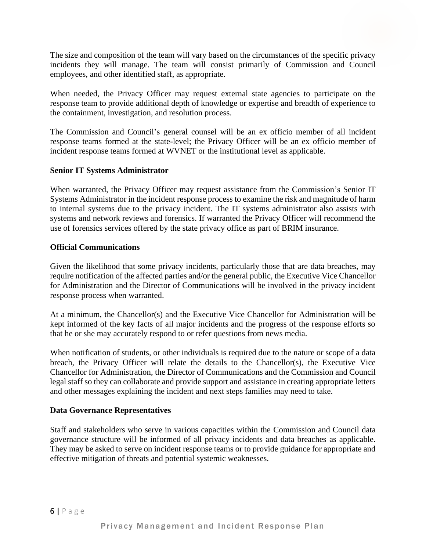The size and composition of the team will vary based on the circumstances of the specific privacy incidents they will manage. The team will consist primarily of Commission and Council employees, and other identified staff, as appropriate.

When needed, the Privacy Officer may request external state agencies to participate on the response team to provide additional depth of knowledge or expertise and breadth of experience to the containment, investigation, and resolution process.

The Commission and Council's general counsel will be an ex officio member of all incident response teams formed at the state-level; the Privacy Officer will be an ex officio member of incident response teams formed at WVNET or the institutional level as applicable.

# **Senior IT Systems Administrator**

When warranted, the Privacy Officer may request assistance from the Commission's Senior IT Systems Administrator in the incident response process to examine the risk and magnitude of harm to internal systems due to the privacy incident. The IT systems administrator also assists with systems and network reviews and forensics. If warranted the Privacy Officer will recommend the use of forensics services offered by the state privacy office as part of BRIM insurance.

### **Official Communications**

Given the likelihood that some privacy incidents, particularly those that are data breaches, may require notification of the affected parties and/or the general public, the Executive Vice Chancellor for Administration and the Director of Communications will be involved in the privacy incident response process when warranted.

At a minimum, the Chancellor(s) and the Executive Vice Chancellor for Administration will be kept informed of the key facts of all major incidents and the progress of the response efforts so that he or she may accurately respond to or refer questions from news media.

When notification of students, or other individuals is required due to the nature or scope of a data breach, the Privacy Officer will relate the details to the Chancellor(s), the Executive Vice Chancellor for Administration, the Director of Communications and the Commission and Council legal staff so they can collaborate and provide support and assistance in creating appropriate letters and other messages explaining the incident and next steps families may need to take.

# **Data Governance Representatives**

Staff and stakeholders who serve in various capacities within the Commission and Council data governance structure will be informed of all privacy incidents and data breaches as applicable. They may be asked to serve on incident response teams or to provide guidance for appropriate and effective mitigation of threats and potential systemic weaknesses.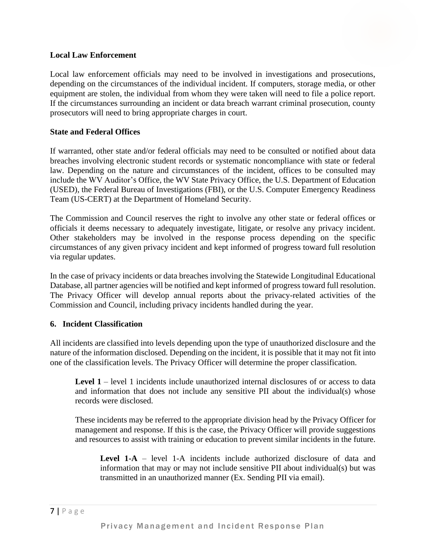### **Local Law Enforcement**

Local law enforcement officials may need to be involved in investigations and prosecutions, depending on the circumstances of the individual incident. If computers, storage media, or other equipment are stolen, the individual from whom they were taken will need to file a police report. If the circumstances surrounding an incident or data breach warrant criminal prosecution, county prosecutors will need to bring appropriate charges in court.

### **State and Federal Offices**

If warranted, other state and/or federal officials may need to be consulted or notified about data breaches involving electronic student records or systematic noncompliance with state or federal law. Depending on the nature and circumstances of the incident, offices to be consulted may include the WV Auditor's Office, the WV State Privacy Office, the U.S. Department of Education (USED), the Federal Bureau of Investigations (FBI), or the U.S. Computer Emergency Readiness Team (US-CERT) at the Department of Homeland Security.

The Commission and Council reserves the right to involve any other state or federal offices or officials it deems necessary to adequately investigate, litigate, or resolve any privacy incident. Other stakeholders may be involved in the response process depending on the specific circumstances of any given privacy incident and kept informed of progress toward full resolution via regular updates.

In the case of privacy incidents or data breaches involving the Statewide Longitudinal Educational Database, all partner agencies will be notified and kept informed of progress toward full resolution. The Privacy Officer will develop annual reports about the privacy-related activities of the Commission and Council, including privacy incidents handled during the year.

#### **6. Incident Classification**

All incidents are classified into levels depending upon the type of unauthorized disclosure and the nature of the information disclosed. Depending on the incident, it is possible that it may not fit into one of the classification levels. The Privacy Officer will determine the proper classification.

**Level 1** – level 1 incidents include unauthorized internal disclosures of or access to data and information that does not include any sensitive PII about the individual(s) whose records were disclosed.

These incidents may be referred to the appropriate division head by the Privacy Officer for management and response. If this is the case, the Privacy Officer will provide suggestions and resources to assist with training or education to prevent similar incidents in the future.

**Level 1-A** – level 1-A incidents include authorized disclosure of data and information that may or may not include sensitive PII about individual(s) but was transmitted in an unauthorized manner (Ex. Sending PII via email).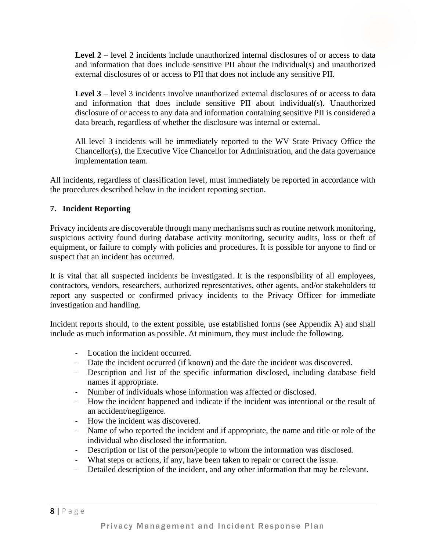**Level 2** – level 2 incidents include unauthorized internal disclosures of or access to data and information that does include sensitive PII about the individual(s) and unauthorized external disclosures of or access to PII that does not include any sensitive PII.

**Level 3** – level 3 incidents involve unauthorized external disclosures of or access to data and information that does include sensitive PII about individual(s). Unauthorized disclosure of or access to any data and information containing sensitive PII is considered a data breach, regardless of whether the disclosure was internal or external.

All level 3 incidents will be immediately reported to the WV State Privacy Office the Chancellor(s), the Executive Vice Chancellor for Administration, and the data governance implementation team.

All incidents, regardless of classification level, must immediately be reported in accordance with the procedures described below in the incident reporting section.

# **7. Incident Reporting**

Privacy incidents are discoverable through many mechanisms such as routine network monitoring, suspicious activity found during database activity monitoring, security audits, loss or theft of equipment, or failure to comply with policies and procedures. It is possible for anyone to find or suspect that an incident has occurred.

It is vital that all suspected incidents be investigated. It is the responsibility of all employees, contractors, vendors, researchers, authorized representatives, other agents, and/or stakeholders to report any suspected or confirmed privacy incidents to the Privacy Officer for immediate investigation and handling.

Incident reports should, to the extent possible, use established forms (see Appendix A) and shall include as much information as possible. At minimum, they must include the following.

- Location the incident occurred.
- Date the incident occurred (if known) and the date the incident was discovered.
- Description and list of the specific information disclosed, including database field names if appropriate.
- Number of individuals whose information was affected or disclosed.
- How the incident happened and indicate if the incident was intentional or the result of an accident/negligence.
- How the incident was discovered.
- Name of who reported the incident and if appropriate, the name and title or role of the individual who disclosed the information.
- Description or list of the person/people to whom the information was disclosed.
- What steps or actions, if any, have been taken to repair or correct the issue.
- Detailed description of the incident, and any other information that may be relevant.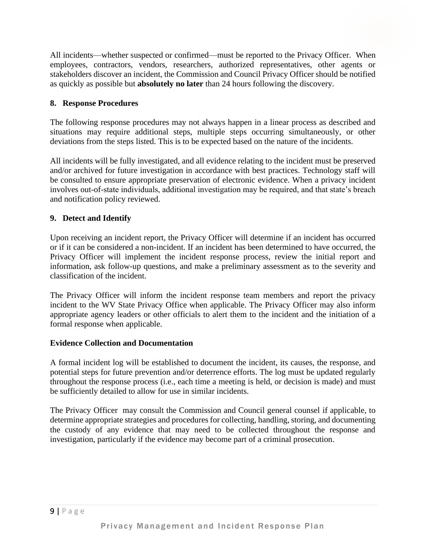All incidents—whether suspected or confirmed—must be reported to the Privacy Officer. When employees, contractors, vendors, researchers, authorized representatives, other agents or stakeholders discover an incident, the Commission and Council Privacy Officer should be notified as quickly as possible but **absolutely no later** than 24 hours following the discovery.

# **8. Response Procedures**

The following response procedures may not always happen in a linear process as described and situations may require additional steps, multiple steps occurring simultaneously, or other deviations from the steps listed. This is to be expected based on the nature of the incidents.

All incidents will be fully investigated, and all evidence relating to the incident must be preserved and/or archived for future investigation in accordance with best practices. Technology staff will be consulted to ensure appropriate preservation of electronic evidence. When a privacy incident involves out-of-state individuals, additional investigation may be required, and that state's breach and notification policy reviewed.

# **9. Detect and Identify**

Upon receiving an incident report, the Privacy Officer will determine if an incident has occurred or if it can be considered a non-incident. If an incident has been determined to have occurred, the Privacy Officer will implement the incident response process, review the initial report and information, ask follow-up questions, and make a preliminary assessment as to the severity and classification of the incident.

The Privacy Officer will inform the incident response team members and report the privacy incident to the WV State Privacy Office when applicable. The Privacy Officer may also inform appropriate agency leaders or other officials to alert them to the incident and the initiation of a formal response when applicable.

# **Evidence Collection and Documentation**

A formal incident log will be established to document the incident, its causes, the response, and potential steps for future prevention and/or deterrence efforts. The log must be updated regularly throughout the response process (i.e., each time a meeting is held, or decision is made) and must be sufficiently detailed to allow for use in similar incidents.

The Privacy Officer may consult the Commission and Council general counsel if applicable, to determine appropriate strategies and procedures for collecting, handling, storing, and documenting the custody of any evidence that may need to be collected throughout the response and investigation, particularly if the evidence may become part of a criminal prosecution.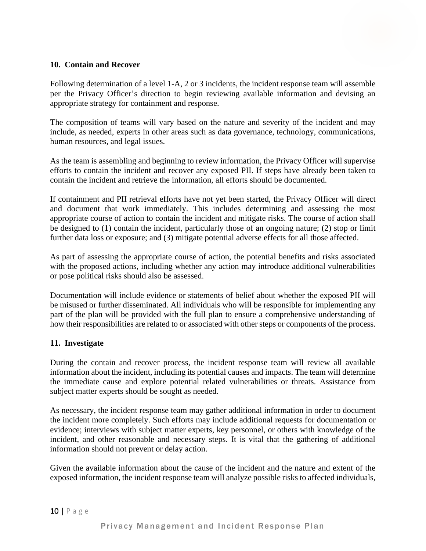### **10. Contain and Recover**

Following determination of a level 1-A, 2 or 3 incidents, the incident response team will assemble per the Privacy Officer's direction to begin reviewing available information and devising an appropriate strategy for containment and response.

The composition of teams will vary based on the nature and severity of the incident and may include, as needed, experts in other areas such as data governance, technology, communications, human resources, and legal issues.

As the team is assembling and beginning to review information, the Privacy Officer will supervise efforts to contain the incident and recover any exposed PII. If steps have already been taken to contain the incident and retrieve the information, all efforts should be documented.

If containment and PII retrieval efforts have not yet been started, the Privacy Officer will direct and document that work immediately. This includes determining and assessing the most appropriate course of action to contain the incident and mitigate risks. The course of action shall be designed to (1) contain the incident, particularly those of an ongoing nature; (2) stop or limit further data loss or exposure; and (3) mitigate potential adverse effects for all those affected.

As part of assessing the appropriate course of action, the potential benefits and risks associated with the proposed actions, including whether any action may introduce additional vulnerabilities or pose political risks should also be assessed.

Documentation will include evidence or statements of belief about whether the exposed PII will be misused or further disseminated. All individuals who will be responsible for implementing any part of the plan will be provided with the full plan to ensure a comprehensive understanding of how their responsibilities are related to or associated with other steps or components of the process.

# **11. Investigate**

During the contain and recover process, the incident response team will review all available information about the incident, including its potential causes and impacts. The team will determine the immediate cause and explore potential related vulnerabilities or threats. Assistance from subject matter experts should be sought as needed.

As necessary, the incident response team may gather additional information in order to document the incident more completely. Such efforts may include additional requests for documentation or evidence; interviews with subject matter experts, key personnel, or others with knowledge of the incident, and other reasonable and necessary steps. It is vital that the gathering of additional information should not prevent or delay action.

Given the available information about the cause of the incident and the nature and extent of the exposed information, the incident response team will analyze possible risks to affected individuals,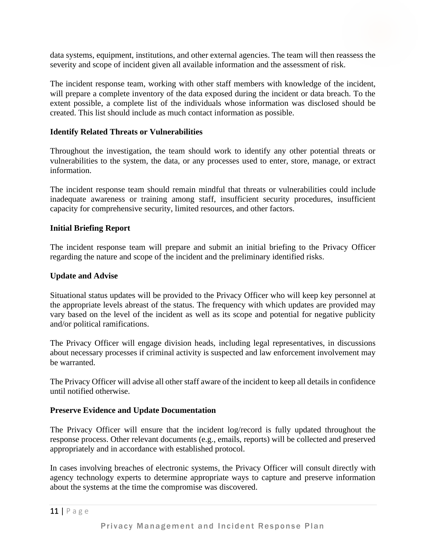data systems, equipment, institutions, and other external agencies. The team will then reassess the severity and scope of incident given all available information and the assessment of risk.

The incident response team, working with other staff members with knowledge of the incident, will prepare a complete inventory of the data exposed during the incident or data breach. To the extent possible, a complete list of the individuals whose information was disclosed should be created. This list should include as much contact information as possible.

### **Identify Related Threats or Vulnerabilities**

Throughout the investigation, the team should work to identify any other potential threats or vulnerabilities to the system, the data, or any processes used to enter, store, manage, or extract information.

The incident response team should remain mindful that threats or vulnerabilities could include inadequate awareness or training among staff, insufficient security procedures, insufficient capacity for comprehensive security, limited resources, and other factors.

### **Initial Briefing Report**

The incident response team will prepare and submit an initial briefing to the Privacy Officer regarding the nature and scope of the incident and the preliminary identified risks.

### **Update and Advise**

Situational status updates will be provided to the Privacy Officer who will keep key personnel at the appropriate levels abreast of the status. The frequency with which updates are provided may vary based on the level of the incident as well as its scope and potential for negative publicity and/or political ramifications.

The Privacy Officer will engage division heads, including legal representatives, in discussions about necessary processes if criminal activity is suspected and law enforcement involvement may be warranted.

The Privacy Officer will advise all other staff aware of the incident to keep all details in confidence until notified otherwise.

#### **Preserve Evidence and Update Documentation**

The Privacy Officer will ensure that the incident log/record is fully updated throughout the response process. Other relevant documents (e.g., emails, reports) will be collected and preserved appropriately and in accordance with established protocol.

In cases involving breaches of electronic systems, the Privacy Officer will consult directly with agency technology experts to determine appropriate ways to capture and preserve information about the systems at the time the compromise was discovered.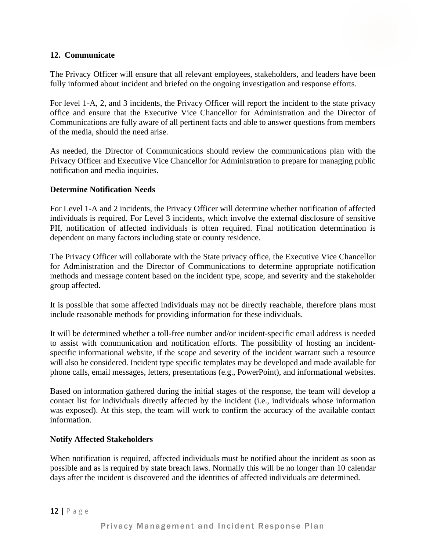# **12. Communicate**

The Privacy Officer will ensure that all relevant employees, stakeholders, and leaders have been fully informed about incident and briefed on the ongoing investigation and response efforts.

For level 1-A, 2, and 3 incidents, the Privacy Officer will report the incident to the state privacy office and ensure that the Executive Vice Chancellor for Administration and the Director of Communications are fully aware of all pertinent facts and able to answer questions from members of the media, should the need arise.

As needed, the Director of Communications should review the communications plan with the Privacy Officer and Executive Vice Chancellor for Administration to prepare for managing public notification and media inquiries.

# **Determine Notification Needs**

For Level 1-A and 2 incidents, the Privacy Officer will determine whether notification of affected individuals is required. For Level 3 incidents, which involve the external disclosure of sensitive PII, notification of affected individuals is often required. Final notification determination is dependent on many factors including state or county residence.

The Privacy Officer will collaborate with the State privacy office, the Executive Vice Chancellor for Administration and the Director of Communications to determine appropriate notification methods and message content based on the incident type, scope, and severity and the stakeholder group affected.

It is possible that some affected individuals may not be directly reachable, therefore plans must include reasonable methods for providing information for these individuals.

It will be determined whether a toll-free number and/or incident-specific email address is needed to assist with communication and notification efforts. The possibility of hosting an incidentspecific informational website, if the scope and severity of the incident warrant such a resource will also be considered. Incident type specific templates may be developed and made available for phone calls, email messages, letters, presentations (e.g., PowerPoint), and informational websites.

Based on information gathered during the initial stages of the response, the team will develop a contact list for individuals directly affected by the incident (i.e., individuals whose information was exposed). At this step, the team will work to confirm the accuracy of the available contact information.

# **Notify Affected Stakeholders**

When notification is required, affected individuals must be notified about the incident as soon as possible and as is required by state breach laws. Normally this will be no longer than 10 calendar days after the incident is discovered and the identities of affected individuals are determined.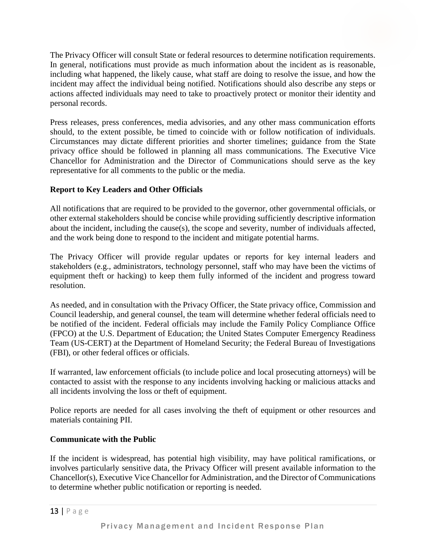The Privacy Officer will consult State or federal resources to determine notification requirements. In general, notifications must provide as much information about the incident as is reasonable, including what happened, the likely cause, what staff are doing to resolve the issue, and how the incident may affect the individual being notified. Notifications should also describe any steps or actions affected individuals may need to take to proactively protect or monitor their identity and personal records.

Press releases, press conferences, media advisories, and any other mass communication efforts should, to the extent possible, be timed to coincide with or follow notification of individuals. Circumstances may dictate different priorities and shorter timelines; guidance from the State privacy office should be followed in planning all mass communications. The Executive Vice Chancellor for Administration and the Director of Communications should serve as the key representative for all comments to the public or the media.

# **Report to Key Leaders and Other Officials**

All notifications that are required to be provided to the governor, other governmental officials, or other external stakeholders should be concise while providing sufficiently descriptive information about the incident, including the cause(s), the scope and severity, number of individuals affected, and the work being done to respond to the incident and mitigate potential harms.

The Privacy Officer will provide regular updates or reports for key internal leaders and stakeholders (e.g., administrators, technology personnel, staff who may have been the victims of equipment theft or hacking) to keep them fully informed of the incident and progress toward resolution.

As needed, and in consultation with the Privacy Officer, the State privacy office, Commission and Council leadership, and general counsel, the team will determine whether federal officials need to be notified of the incident. Federal officials may include the Family Policy Compliance Office (FPCO) at the U.S. Department of Education; the United States Computer Emergency Readiness Team (US-CERT) at the Department of Homeland Security; the Federal Bureau of Investigations (FBI), or other federal offices or officials.

If warranted, law enforcement officials (to include police and local prosecuting attorneys) will be contacted to assist with the response to any incidents involving hacking or malicious attacks and all incidents involving the loss or theft of equipment.

Police reports are needed for all cases involving the theft of equipment or other resources and materials containing PII.

# **Communicate with the Public**

If the incident is widespread, has potential high visibility, may have political ramifications, or involves particularly sensitive data, the Privacy Officer will present available information to the Chancellor(s), Executive Vice Chancellor for Administration, and the Director of Communications to determine whether public notification or reporting is needed.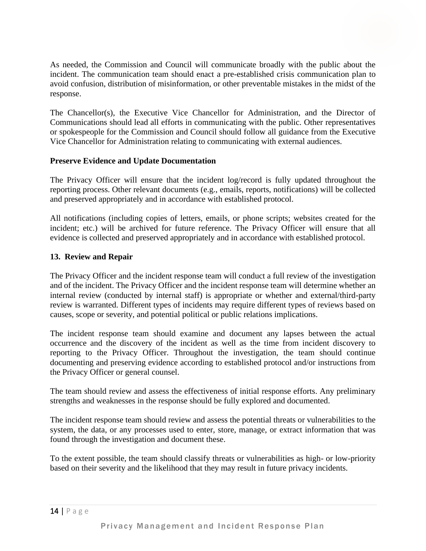As needed, the Commission and Council will communicate broadly with the public about the incident. The communication team should enact a pre-established crisis communication plan to avoid confusion, distribution of misinformation, or other preventable mistakes in the midst of the response.

The Chancellor(s), the Executive Vice Chancellor for Administration, and the Director of Communications should lead all efforts in communicating with the public. Other representatives or spokespeople for the Commission and Council should follow all guidance from the Executive Vice Chancellor for Administration relating to communicating with external audiences.

# **Preserve Evidence and Update Documentation**

The Privacy Officer will ensure that the incident log/record is fully updated throughout the reporting process. Other relevant documents (e.g., emails, reports, notifications) will be collected and preserved appropriately and in accordance with established protocol.

All notifications (including copies of letters, emails, or phone scripts; websites created for the incident; etc.) will be archived for future reference. The Privacy Officer will ensure that all evidence is collected and preserved appropriately and in accordance with established protocol.

# **13. Review and Repair**

The Privacy Officer and the incident response team will conduct a full review of the investigation and of the incident. The Privacy Officer and the incident response team will determine whether an internal review (conducted by internal staff) is appropriate or whether and external/third-party review is warranted. Different types of incidents may require different types of reviews based on causes, scope or severity, and potential political or public relations implications.

The incident response team should examine and document any lapses between the actual occurrence and the discovery of the incident as well as the time from incident discovery to reporting to the Privacy Officer. Throughout the investigation, the team should continue documenting and preserving evidence according to established protocol and/or instructions from the Privacy Officer or general counsel.

The team should review and assess the effectiveness of initial response efforts. Any preliminary strengths and weaknesses in the response should be fully explored and documented.

The incident response team should review and assess the potential threats or vulnerabilities to the system, the data, or any processes used to enter, store, manage, or extract information that was found through the investigation and document these.

To the extent possible, the team should classify threats or vulnerabilities as high- or low-priority based on their severity and the likelihood that they may result in future privacy incidents.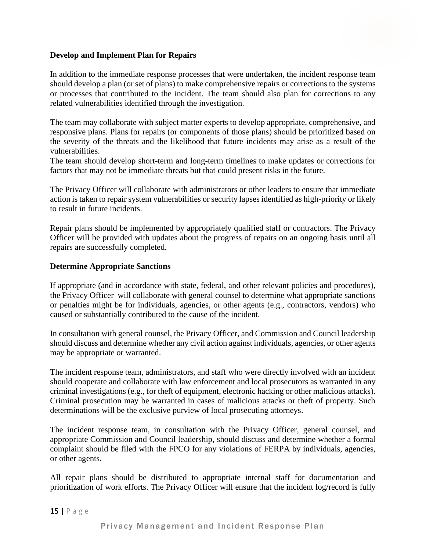# **Develop and Implement Plan for Repairs**

In addition to the immediate response processes that were undertaken, the incident response team should develop a plan (or set of plans) to make comprehensive repairs or corrections to the systems or processes that contributed to the incident. The team should also plan for corrections to any related vulnerabilities identified through the investigation.

The team may collaborate with subject matter experts to develop appropriate, comprehensive, and responsive plans. Plans for repairs (or components of those plans) should be prioritized based on the severity of the threats and the likelihood that future incidents may arise as a result of the vulnerabilities.

The team should develop short-term and long-term timelines to make updates or corrections for factors that may not be immediate threats but that could present risks in the future.

The Privacy Officer will collaborate with administrators or other leaders to ensure that immediate action is taken to repair system vulnerabilities or security lapses identified as high-priority or likely to result in future incidents.

Repair plans should be implemented by appropriately qualified staff or contractors. The Privacy Officer will be provided with updates about the progress of repairs on an ongoing basis until all repairs are successfully completed.

# **Determine Appropriate Sanctions**

If appropriate (and in accordance with state, federal, and other relevant policies and procedures), the Privacy Officer will collaborate with general counsel to determine what appropriate sanctions or penalties might be for individuals, agencies, or other agents (e.g., contractors, vendors) who caused or substantially contributed to the cause of the incident.

In consultation with general counsel, the Privacy Officer, and Commission and Council leadership should discuss and determine whether any civil action against individuals, agencies, or other agents may be appropriate or warranted.

The incident response team, administrators, and staff who were directly involved with an incident should cooperate and collaborate with law enforcement and local prosecutors as warranted in any criminal investigations (e.g., for theft of equipment, electronic hacking or other malicious attacks). Criminal prosecution may be warranted in cases of malicious attacks or theft of property. Such determinations will be the exclusive purview of local prosecuting attorneys.

The incident response team, in consultation with the Privacy Officer, general counsel, and appropriate Commission and Council leadership, should discuss and determine whether a formal complaint should be filed with the FPCO for any violations of FERPA by individuals, agencies, or other agents.

All repair plans should be distributed to appropriate internal staff for documentation and prioritization of work efforts. The Privacy Officer will ensure that the incident log/record is fully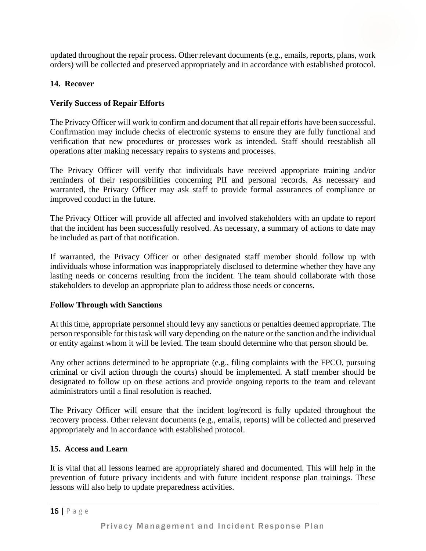updated throughout the repair process. Other relevant documents (e.g., emails, reports, plans, work orders) will be collected and preserved appropriately and in accordance with established protocol.

# **14. Recover**

# **Verify Success of Repair Efforts**

The Privacy Officer will work to confirm and document that all repair efforts have been successful. Confirmation may include checks of electronic systems to ensure they are fully functional and verification that new procedures or processes work as intended. Staff should reestablish all operations after making necessary repairs to systems and processes.

The Privacy Officer will verify that individuals have received appropriate training and/or reminders of their responsibilities concerning PII and personal records. As necessary and warranted, the Privacy Officer may ask staff to provide formal assurances of compliance or improved conduct in the future.

The Privacy Officer will provide all affected and involved stakeholders with an update to report that the incident has been successfully resolved. As necessary, a summary of actions to date may be included as part of that notification.

If warranted, the Privacy Officer or other designated staff member should follow up with individuals whose information was inappropriately disclosed to determine whether they have any lasting needs or concerns resulting from the incident. The team should collaborate with those stakeholders to develop an appropriate plan to address those needs or concerns.

# **Follow Through with Sanctions**

At this time, appropriate personnel should levy any sanctions or penalties deemed appropriate. The person responsible for this task will vary depending on the nature or the sanction and the individual or entity against whom it will be levied. The team should determine who that person should be.

Any other actions determined to be appropriate (e.g., filing complaints with the FPCO, pursuing criminal or civil action through the courts) should be implemented. A staff member should be designated to follow up on these actions and provide ongoing reports to the team and relevant administrators until a final resolution is reached.

The Privacy Officer will ensure that the incident log/record is fully updated throughout the recovery process. Other relevant documents (e.g., emails, reports) will be collected and preserved appropriately and in accordance with established protocol.

# **15. Access and Learn**

It is vital that all lessons learned are appropriately shared and documented. This will help in the prevention of future privacy incidents and with future incident response plan trainings. These lessons will also help to update preparedness activities.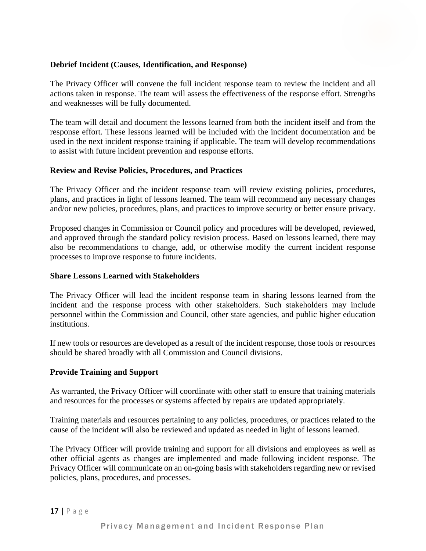### **Debrief Incident (Causes, Identification, and Response)**

The Privacy Officer will convene the full incident response team to review the incident and all actions taken in response. The team will assess the effectiveness of the response effort. Strengths and weaknesses will be fully documented.

The team will detail and document the lessons learned from both the incident itself and from the response effort. These lessons learned will be included with the incident documentation and be used in the next incident response training if applicable. The team will develop recommendations to assist with future incident prevention and response efforts.

### **Review and Revise Policies, Procedures, and Practices**

The Privacy Officer and the incident response team will review existing policies, procedures, plans, and practices in light of lessons learned. The team will recommend any necessary changes and/or new policies, procedures, plans, and practices to improve security or better ensure privacy.

Proposed changes in Commission or Council policy and procedures will be developed, reviewed, and approved through the standard policy revision process. Based on lessons learned, there may also be recommendations to change, add, or otherwise modify the current incident response processes to improve response to future incidents.

#### **Share Lessons Learned with Stakeholders**

The Privacy Officer will lead the incident response team in sharing lessons learned from the incident and the response process with other stakeholders. Such stakeholders may include personnel within the Commission and Council, other state agencies, and public higher education institutions.

If new tools or resources are developed as a result of the incident response, those tools or resources should be shared broadly with all Commission and Council divisions.

#### **Provide Training and Support**

As warranted, the Privacy Officer will coordinate with other staff to ensure that training materials and resources for the processes or systems affected by repairs are updated appropriately.

Training materials and resources pertaining to any policies, procedures, or practices related to the cause of the incident will also be reviewed and updated as needed in light of lessons learned.

The Privacy Officer will provide training and support for all divisions and employees as well as other official agents as changes are implemented and made following incident response. The Privacy Officer will communicate on an on-going basis with stakeholders regarding new or revised policies, plans, procedures, and processes.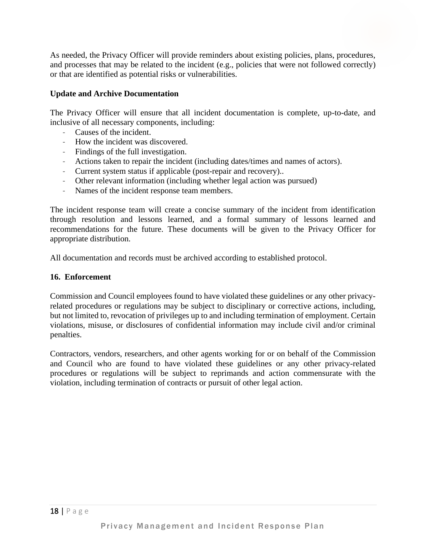As needed, the Privacy Officer will provide reminders about existing policies, plans, procedures, and processes that may be related to the incident (e.g., policies that were not followed correctly) or that are identified as potential risks or vulnerabilities.

### **Update and Archive Documentation**

The Privacy Officer will ensure that all incident documentation is complete, up-to-date, and inclusive of all necessary components, including:

- Causes of the incident.
- How the incident was discovered.
- Findings of the full investigation.
- Actions taken to repair the incident (including dates/times and names of actors).
- Current system status if applicable (post-repair and recovery)..
- Other relevant information (including whether legal action was pursued)
- Names of the incident response team members.

The incident response team will create a concise summary of the incident from identification through resolution and lessons learned, and a formal summary of lessons learned and recommendations for the future. These documents will be given to the Privacy Officer for appropriate distribution.

All documentation and records must be archived according to established protocol.

#### **16. Enforcement**

Commission and Council employees found to have violated these guidelines or any other privacyrelated procedures or regulations may be subject to disciplinary or corrective actions, including, but not limited to, revocation of privileges up to and including termination of employment. Certain violations, misuse, or disclosures of confidential information may include civil and/or criminal penalties.

Contractors, vendors, researchers, and other agents working for or on behalf of the Commission and Council who are found to have violated these guidelines or any other privacy-related procedures or regulations will be subject to reprimands and action commensurate with the violation, including termination of contracts or pursuit of other legal action.